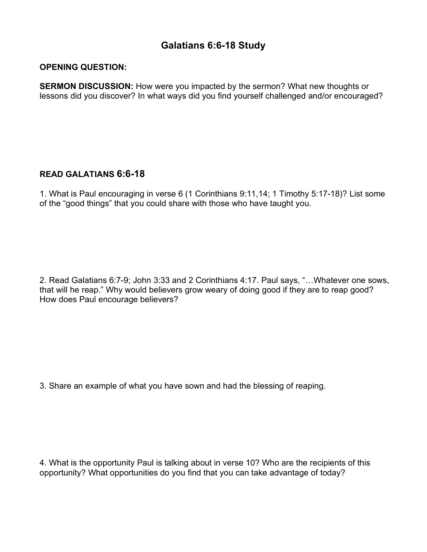## **Galatians 6:6-18 Study**

## **OPENING QUESTION:**

**SERMON DISCUSSION:** How were you impacted by the sermon? What new thoughts or lessons did you discover? In what ways did you find yourself challenged and/or encouraged?

## **READ GALATIANS 6:6-18**

1. What is Paul encouraging in verse 6 (1 Corinthians 9:11,14; 1 Timothy 5:17-18)? List some of the "good things" that you could share with those who have taught you.

2. Read Galatians 6:7-9; John 3:33 and 2 Corinthians 4:17. Paul says, "…Whatever one sows, that will he reap." Why would believers grow weary of doing good if they are to reap good? How does Paul encourage believers?

3. Share an example of what you have sown and had the blessing of reaping.

4. What is the opportunity Paul is talking about in verse 10? Who are the recipients of this opportunity? What opportunities do you find that you can take advantage of today?